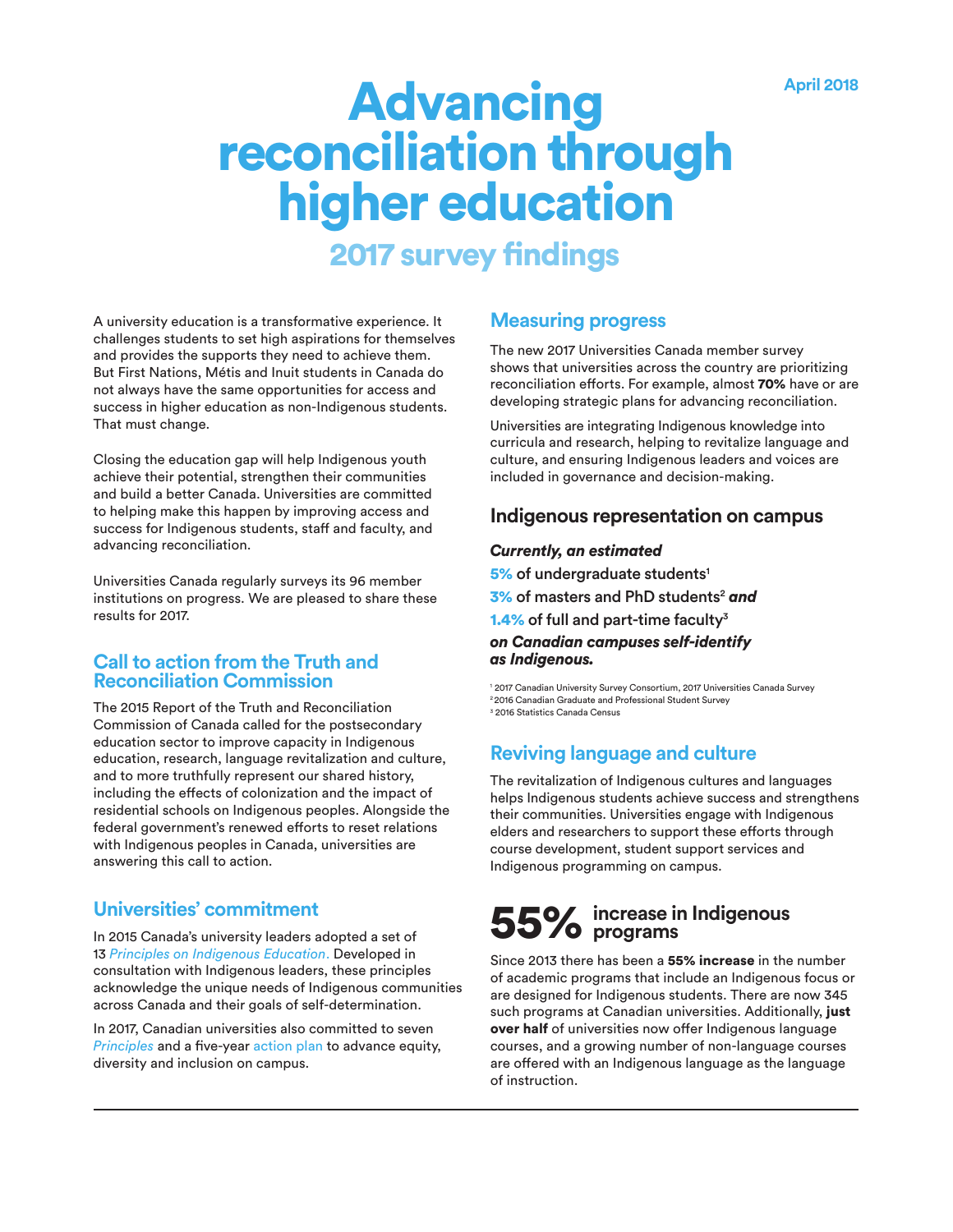# Advancing<br> **Reconciliation through<br>
higher education**

## 2017 survey findings

A university education is a transformative experience. It challenges students to set high aspirations for themselves and provides the supports they need to achieve them. But First Nations, Métis and Inuit students in Canada do not always have the same opportunities for access and success in higher education as non-Indigenous students. That must change.

Closing the education gap will help Indigenous youth achieve their potential, strengthen their communities and build a better Canada. Universities are committed to helping make this happen by improving access and success for Indigenous students, staff and faculty, and advancing reconciliation.

Universities Canada regularly surveys its 96 member institutions on progress. We are pleased to share these results for 2017.

## **Call to action from the Truth and Reconciliation Commission**

The 2015 Report of the Truth and Reconciliation Commission of Canada called for the postsecondary education sector to improve capacity in Indigenous education, research, language revitalization and culture, and to more truthfully represent our shared history, including the effects of colonization and the impact of residential schools on Indigenous peoples. Alongside the federal government's renewed efforts to reset relations with Indigenous peoples in Canada, universities are answering this call to action.

## **Universities' commitment**

In 2015 Canada's university leaders adopted a set of 13 *[Principles on Indigenous Education](https://www.univcan.ca/media-room/media-releases/universities-canada-principles-on-indigenous-education/)*. Developed in consultation with Indigenous leaders, these principles acknowledge the unique needs of Indigenous communities across Canada and their goals of self-determination.

In 2017, Canadian universities also committed to seven *[Principles](https://www.univcan.ca/media-room/media-releases/universities-canada-principles-equity-diversity-inclusion/)* and a five-year [action plan](https://www.univcan.ca/priorities/action-plan-equity-diversity-inclusion/) to advance equity, diversity and inclusion on campus.

## **Measuring progress**

The new 2017 Universities Canada member survey shows that universities across the country are prioritizing reconciliation efforts. For example, almost 70% have or are developing strategic plans for advancing reconciliation.

Universities are integrating Indigenous knowledge into curricula and research, helping to revitalize language and culture, and ensuring Indigenous leaders and voices are included in governance and decision-making.

## **Indigenous representation on campus**

### *Currently, an estimated*

5% of undergraduate students<sup>1</sup> 3% of masters and PhD students2 *and* 1.4% of full and part-time faculty $3$ *on Canadian campuses self-identify as Indigenous.*

1 2017 Canadian University Survey Consortium, 2017 Universities Canada Survey 2 2016 Canadian Graduate and Professional Student Survey 3 2016 Statistics Canada Census

## **Reviving language and culture**

The revitalization of Indigenous cultures and languages helps Indigenous students achieve success and strengthens their communities. Universities engage with Indigenous elders and researchers to support these efforts through course development, student support services and Indigenous programming on campus.

# **increase in Indigenous** 55% **programs**

Since 2013 there has been a 55% increase in the number of academic programs that include an Indigenous focus or are designed for Indigenous students. There are now 345 such programs at Canadian universities. Additionally, just over half of universities now offer Indigenous language courses, and a growing number of non-language courses are offered with an Indigenous language as the language of instruction.